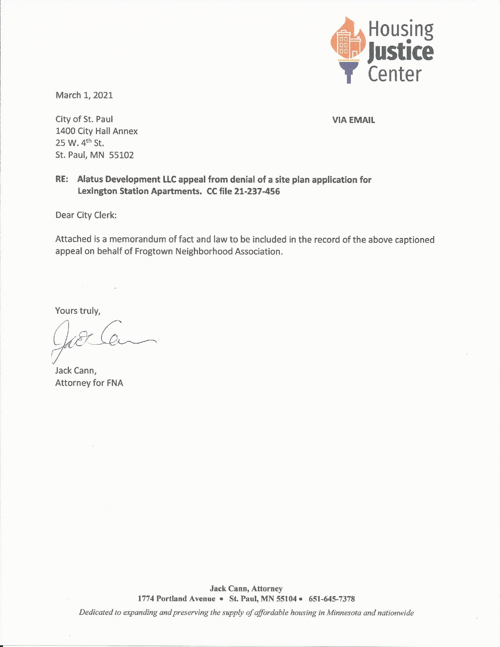

March 1, 2021

City of St. Paul 1400 City Hall Annex 25 W. 4<sup>th</sup> St. St. Paul, MN 55102

**VIA EMAIL** 

# RE: Alatus Development LLC appeal from denial of a site plan application for Lexington Station Apartments. CC file 21-237-456

Dear City Clerk:

Attached is a memorandum of fact and law to be included in the record of the above captioned appeal on behalf of Frogtown Neighborhood Association.

Yours truly,

Jack Cann, Attorney for FNA

**Jack Cann, Attorney** 1774 Portland Avenue . St. Paul, MN 55104 . 651-645-7378

Dedicated to expanding and preserving the supply of affordable housing in Minnesota and nationwide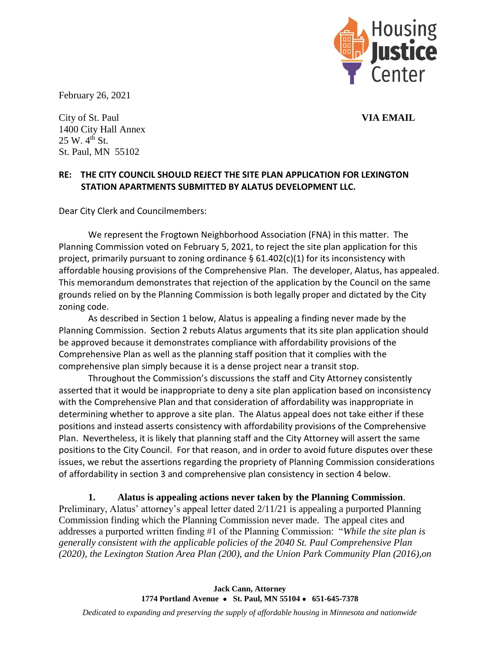

February 26, 2021

City of St. Paul **VIA EMAIL** 1400 City Hall Annex  $25 W. 4<sup>th</sup> St.$ St. Paul, MN 55102

### **RE: THE CITY COUNCIL SHOULD REJECT THE SITE PLAN APPLICATION FOR LEXINGTON STATION APARTMENTS SUBMITTED BY ALATUS DEVELOPMENT LLC.**

Dear City Clerk and Councilmembers:

We represent the Frogtown Neighborhood Association (FNA) in this matter. The Planning Commission voted on February 5, 2021, to reject the site plan application for this project, primarily pursuant to zoning ordinance § 61.402(c)(1) for its inconsistency with affordable housing provisions of the Comprehensive Plan. The developer, Alatus, has appealed. This memorandum demonstrates that rejection of the application by the Council on the same grounds relied on by the Planning Commission is both legally proper and dictated by the City zoning code.

As described in Section 1 below, Alatus is appealing a finding never made by the Planning Commission. Section 2 rebuts Alatus arguments that its site plan application should be approved because it demonstrates compliance with affordability provisions of the Comprehensive Plan as well as the planning staff position that it complies with the comprehensive plan simply because it is a dense project near a transit stop.

Throughout the Commission's discussions the staff and City Attorney consistently asserted that it would be inappropriate to deny a site plan application based on inconsistency with the Comprehensive Plan and that consideration of affordability was inappropriate in determining whether to approve a site plan. The Alatus appeal does not take either if these positions and instead asserts consistency with affordability provisions of the Comprehensive Plan. Nevertheless, it is likely that planning staff and the City Attorney will assert the same positions to the City Council. For that reason, and in order to avoid future disputes over these issues, we rebut the assertions regarding the propriety of Planning Commission considerations of affordability in section 3 and comprehensive plan consistency in section 4 below.

**1. Alatus is appealing actions never taken by the Planning Commission**. Preliminary, Alatus' attorney's appeal letter dated 2/11/21 is appealing a purported Planning Commission finding which the Planning Commission never made. The appeal cites and addresses a purported written finding #1 of the Planning Commission: "*While the site plan is generally consistent with the applicable policies of the 2040 St. Paul Comprehensive Plan (2020), the Lexington Station Area Plan (200), and the Union Park Community Plan (2016),on*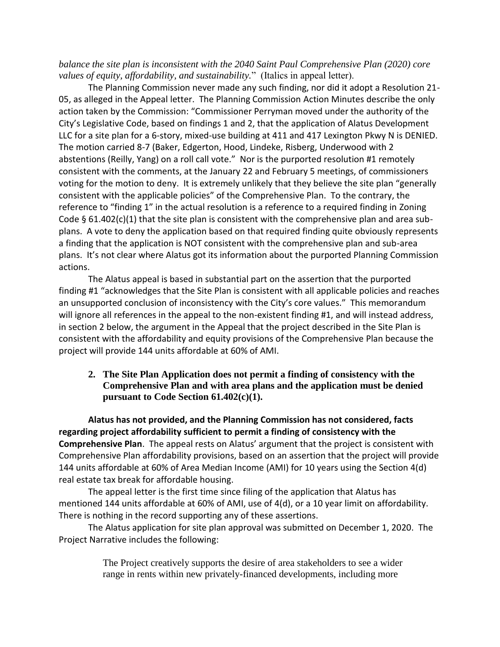*balance the site plan is inconsistent with the 2040 Saint Paul Comprehensive Plan (2020) core values of equity, affordability, and sustainability.*" (Italics in appeal letter).

The Planning Commission never made any such finding, nor did it adopt a Resolution 21- 05, as alleged in the Appeal letter. The Planning Commission Action Minutes describe the only action taken by the Commission: "Commissioner Perryman moved under the authority of the City's Legislative Code, based on findings 1 and 2, that the application of Alatus Development LLC for a site plan for a 6-story, mixed-use building at 411 and 417 Lexington Pkwy N is DENIED. The motion carried 8-7 (Baker, Edgerton, Hood, Lindeke, Risberg, Underwood with 2 abstentions (Reilly, Yang) on a roll call vote." Nor is the purported resolution #1 remotely consistent with the comments, at the January 22 and February 5 meetings, of commissioners voting for the motion to deny. It is extremely unlikely that they believe the site plan "generally consistent with the applicable policies" of the Comprehensive Plan. To the contrary, the reference to "finding 1" in the actual resolution is a reference to a required finding in Zoning Code  $\S 61.402(c)(1)$  that the site plan is consistent with the comprehensive plan and area subplans. A vote to deny the application based on that required finding quite obviously represents a finding that the application is NOT consistent with the comprehensive plan and sub-area plans. It's not clear where Alatus got its information about the purported Planning Commission actions.

The Alatus appeal is based in substantial part on the assertion that the purported finding #1 "acknowledges that the Site Plan is consistent with all applicable policies and reaches an unsupported conclusion of inconsistency with the City's core values." This memorandum will ignore all references in the appeal to the non-existent finding #1, and will instead address, in section 2 below, the argument in the Appeal that the project described in the Site Plan is consistent with the affordability and equity provisions of the Comprehensive Plan because the project will provide 144 units affordable at 60% of AMI.

### **2. The Site Plan Application does not permit a finding of consistency with the Comprehensive Plan and with area plans and the application must be denied pursuant to Code Section 61.402(c)(1).**

**Alatus has not provided, and the Planning Commission has not considered, facts regarding project affordability sufficient to permit a finding of consistency with the Comprehensive Plan**. The appeal rests on Alatus' argument that the project is consistent with Comprehensive Plan affordability provisions, based on an assertion that the project will provide 144 units affordable at 60% of Area Median Income (AMI) for 10 years using the Section 4(d) real estate tax break for affordable housing.

The appeal letter is the first time since filing of the application that Alatus has mentioned 144 units affordable at 60% of AMI, use of 4(d), or a 10 year limit on affordability. There is nothing in the record supporting any of these assertions.

The Alatus application for site plan approval was submitted on December 1, 2020. The Project Narrative includes the following:

> The Project creatively supports the desire of area stakeholders to see a wider range in rents within new privately-financed developments, including more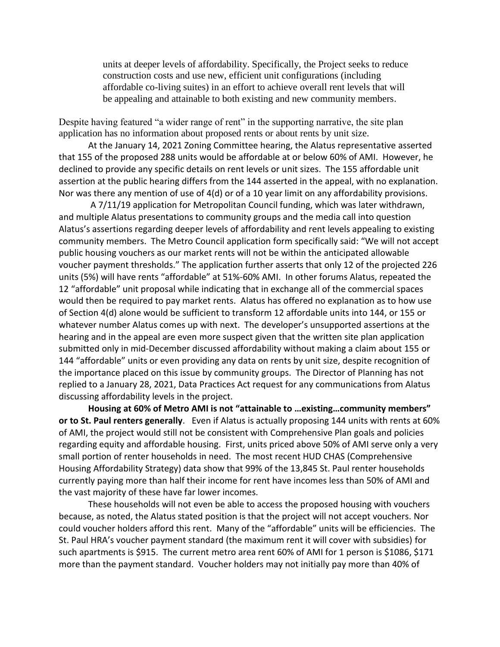units at deeper levels of affordability. Specifically, the Project seeks to reduce construction costs and use new, efficient unit configurations (including affordable co-living suites) in an effort to achieve overall rent levels that will be appealing and attainable to both existing and new community members.

Despite having featured "a wider range of rent" in the supporting narrative, the site plan application has no information about proposed rents or about rents by unit size.

At the January 14, 2021 Zoning Committee hearing, the Alatus representative asserted that 155 of the proposed 288 units would be affordable at or below 60% of AMI. However, he declined to provide any specific details on rent levels or unit sizes. The 155 affordable unit assertion at the public hearing differs from the 144 asserted in the appeal, with no explanation. Nor was there any mention of use of 4(d) or of a 10 year limit on any affordability provisions.

A 7/11/19 application for Metropolitan Council funding, which was later withdrawn, and multiple Alatus presentations to community groups and the media call into question Alatus's assertions regarding deeper levels of affordability and rent levels appealing to existing community members. The Metro Council application form specifically said: "We will not accept public housing vouchers as our market rents will not be within the anticipated allowable voucher payment thresholds." The application further asserts that only 12 of the projected 226 units (5%) will have rents "affordable" at 51%-60% AMI. In other forums Alatus, repeated the 12 "affordable" unit proposal while indicating that in exchange all of the commercial spaces would then be required to pay market rents. Alatus has offered no explanation as to how use of Section 4(d) alone would be sufficient to transform 12 affordable units into 144, or 155 or whatever number Alatus comes up with next. The developer's unsupported assertions at the hearing and in the appeal are even more suspect given that the written site plan application submitted only in mid-December discussed affordability without making a claim about 155 or 144 "affordable" units or even providing any data on rents by unit size, despite recognition of the importance placed on this issue by community groups. The Director of Planning has not replied to a January 28, 2021, Data Practices Act request for any communications from Alatus discussing affordability levels in the project.

**Housing at 60% of Metro AMI is not "attainable to …existing…community members" or to St. Paul renters generally**. Even if Alatus is actually proposing 144 units with rents at 60% of AMI, the project would still not be consistent with Comprehensive Plan goals and policies regarding equity and affordable housing. First, units priced above 50% of AMI serve only a very small portion of renter households in need. The most recent HUD CHAS (Comprehensive Housing Affordability Strategy) data show that 99% of the 13,845 St. Paul renter households currently paying more than half their income for rent have incomes less than 50% of AMI and the vast majority of these have far lower incomes.

These households will not even be able to access the proposed housing with vouchers because, as noted, the Alatus stated position is that the project will not accept vouchers. Nor could voucher holders afford this rent. Many of the "affordable" units will be efficiencies. The St. Paul HRA's voucher payment standard (the maximum rent it will cover with subsidies) for such apartments is \$915. The current metro area rent 60% of AMI for 1 person is \$1086, \$171 more than the payment standard. Voucher holders may not initially pay more than 40% of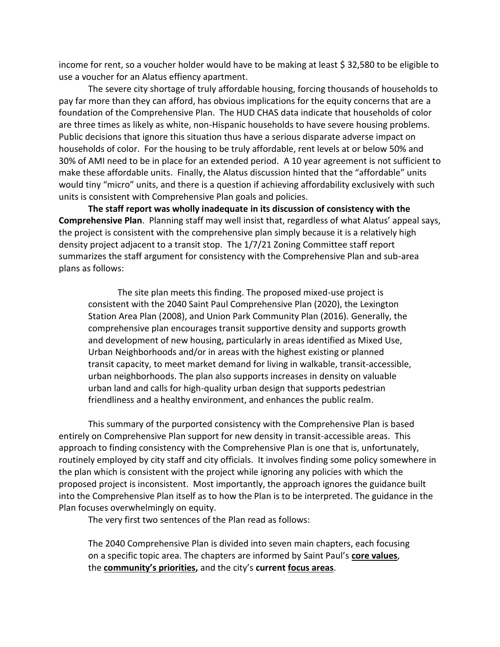income for rent, so a voucher holder would have to be making at least \$ 32,580 to be eligible to use a voucher for an Alatus effiency apartment.

The severe city shortage of truly affordable housing, forcing thousands of households to pay far more than they can afford, has obvious implications for the equity concerns that are a foundation of the Comprehensive Plan. The HUD CHAS data indicate that households of color are three times as likely as white, non-Hispanic households to have severe housing problems. Public decisions that ignore this situation thus have a serious disparate adverse impact on households of color. For the housing to be truly affordable, rent levels at or below 50% and 30% of AMI need to be in place for an extended period. A 10 year agreement is not sufficient to make these affordable units. Finally, the Alatus discussion hinted that the "affordable" units would tiny "micro" units, and there is a question if achieving affordability exclusively with such units is consistent with Comprehensive Plan goals and policies.

**The staff report was wholly inadequate in its discussion of consistency with the Comprehensive Plan**. Planning staff may well insist that, regardless of what Alatus' appeal says, the project is consistent with the comprehensive plan simply because it is a relatively high density project adjacent to a transit stop. The 1/7/21 Zoning Committee staff report summarizes the staff argument for consistency with the Comprehensive Plan and sub-area plans as follows:

The site plan meets this finding. The proposed mixed-use project is consistent with the 2040 Saint Paul Comprehensive Plan (2020), the Lexington Station Area Plan (2008), and Union Park Community Plan (2016). Generally, the comprehensive plan encourages transit supportive density and supports growth and development of new housing, particularly in areas identified as Mixed Use, Urban Neighborhoods and/or in areas with the highest existing or planned transit capacity, to meet market demand for living in walkable, transit-accessible, urban neighborhoods. The plan also supports increases in density on valuable urban land and calls for high-quality urban design that supports pedestrian friendliness and a healthy environment, and enhances the public realm.

This summary of the purported consistency with the Comprehensive Plan is based entirely on Comprehensive Plan support for new density in transit-accessible areas. This approach to finding consistency with the Comprehensive Plan is one that is, unfortunately, routinely employed by city staff and city officials. It involves finding some policy somewhere in the plan which is consistent with the project while ignoring any policies with which the proposed project is inconsistent. Most importantly, the approach ignores the guidance built into the Comprehensive Plan itself as to how the Plan is to be interpreted. The guidance in the Plan focuses overwhelmingly on equity.

The very first two sentences of the Plan read as follows:

The 2040 Comprehensive Plan is divided into seven main chapters, each focusing on a specific topic area. The chapters are informed by Saint Paul's **[core values](https://www.stpaul.gov/departments/planning-economic-development/planning/citywide-plans/2040-comprehensive-planning-2)**, the **[community's priorities](https://www.stpaul.gov/departments/planning-economic-development/planning/2040-comprehensive-planning-process/community),** and the city's **current [focus areas](https://www.stpaul.gov/departments/planning-economic-development/planning/citywide-plans/2040-comprehensive-planning-3)**.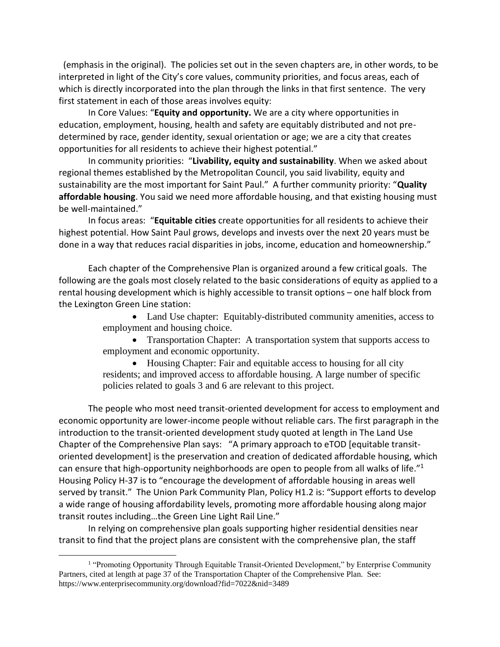(emphasis in the original). The policies set out in the seven chapters are, in other words, to be interpreted in light of the City's core values, community priorities, and focus areas, each of which is directly incorporated into the plan through the links in that first sentence. The very first statement in each of those areas involves equity:

In Core Values: "**Equity and opportunity.** We are a city where opportunities in education, employment, housing, health and safety are equitably distributed and not predetermined by race, gender identity, sexual orientation or age; we are a city that creates opportunities for all residents to achieve their highest potential."

In community priorities: "**Livability, equity and sustainability**. When we asked about regional themes established by the Metropolitan Council, you said livability, equity and sustainability are the most important for Saint Paul." A further community priority: "**Quality affordable housing**. You said we need more affordable housing, and that existing housing must be well-maintained."

In focus areas: "**Equitable cities** create opportunities for all residents to achieve their highest potential. How Saint Paul grows, develops and invests over the next 20 years must be done in a way that reduces racial disparities in jobs, income, education and homeownership."

Each chapter of the Comprehensive Plan is organized around a few critical goals. The following are the goals most closely related to the basic considerations of equity as applied to a rental housing development which is highly accessible to transit options – one half block from the Lexington Green Line station:

> • Land Use chapter: Equitably-distributed community amenities, access to employment and housing choice.

• Transportation Chapter: A transportation system that supports access to employment and economic opportunity.

• Housing Chapter: Fair and equitable access to housing for all city residents; and improved access to affordable housing. A large number of specific policies related to goals 3 and 6 are relevant to this project.

The people who most need transit-oriented development for access to employment and economic opportunity are lower-income people without reliable cars. The first paragraph in the introduction to the transit-oriented development study quoted at length in The Land Use Chapter of the Comprehensive Plan says: "A primary approach to eTOD [equitable transitoriented development] is the preservation and creation of dedicated affordable housing, which can ensure that high-opportunity neighborhoods are open to people from all walks of life."<sup>1</sup> Housing Policy H-37 is to "encourage the development of affordable housing in areas well served by transit." The Union Park Community Plan, Policy H1.2 is: "Support efforts to develop a wide range of housing affordability levels, promoting more affordable housing along major transit routes including…the Green Line Light Rail Line."

In relying on comprehensive plan goals supporting higher residential densities near transit to find that the project plans are consistent with the comprehensive plan, the staff

 $\overline{a}$ 

<sup>&</sup>lt;sup>1</sup> "Promoting Opportunity Through Equitable Transit-Oriented Development," by Enterprise Community Partners, cited at length at page 37 of the Transportation Chapter of the Comprehensive Plan. See: https://www.enterprisecommunity.org/download?fid=7022&nid=3489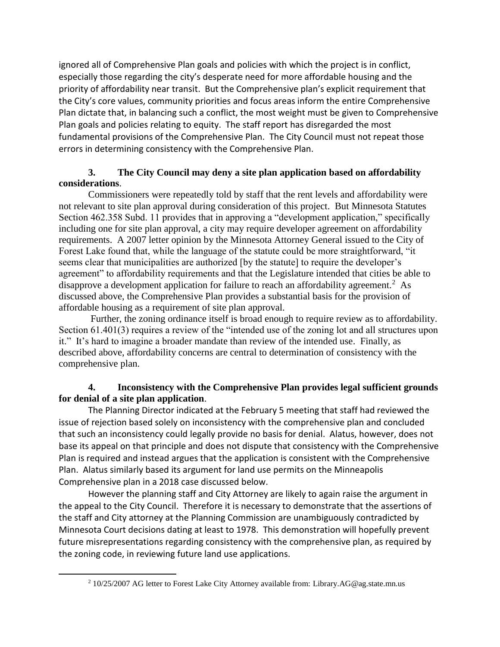ignored all of Comprehensive Plan goals and policies with which the project is in conflict, especially those regarding the city's desperate need for more affordable housing and the priority of affordability near transit. But the Comprehensive plan's explicit requirement that the City's core values, community priorities and focus areas inform the entire Comprehensive Plan dictate that, in balancing such a conflict, the most weight must be given to Comprehensive Plan goals and policies relating to equity. The staff report has disregarded the most fundamental provisions of the Comprehensive Plan. The City Council must not repeat those errors in determining consistency with the Comprehensive Plan.

# **3. The City Council may deny a site plan application based on affordability considerations**.

Commissioners were repeatedly told by staff that the rent levels and affordability were not relevant to site plan approval during consideration of this project. But Minnesota Statutes Section 462.358 Subd. 11 provides that in approving a "development application," specifically including one for site plan approval, a city may require developer agreement on affordability requirements. A 2007 letter opinion by the Minnesota Attorney General issued to the City of Forest Lake found that, while the language of the statute could be more straightforward, "it seems clear that municipalities are authorized [by the statute] to require the developer's agreement" to affordability requirements and that the Legislature intended that cities be able to disapprove a development application for failure to reach an affordability agreement.<sup>2</sup> As discussed above, the Comprehensive Plan provides a substantial basis for the provision of affordable housing as a requirement of site plan approval.

Further, the zoning ordinance itself is broad enough to require review as to affordability. Section 61.401(3) requires a review of the "intended use of the zoning lot and all structures upon it." It's hard to imagine a broader mandate than review of the intended use. Finally, as described above, affordability concerns are central to determination of consistency with the comprehensive plan.

# **4. Inconsistency with the Comprehensive Plan provides legal sufficient grounds for denial of a site plan application**.

The Planning Director indicated at the February 5 meeting that staff had reviewed the issue of rejection based solely on inconsistency with the comprehensive plan and concluded that such an inconsistency could legally provide no basis for denial. Alatus, however, does not base its appeal on that principle and does not dispute that consistency with the Comprehensive Plan is required and instead argues that the application is consistent with the Comprehensive Plan. Alatus similarly based its argument for land use permits on the Minneapolis Comprehensive plan in a 2018 case discussed below.

However the planning staff and City Attorney are likely to again raise the argument in the appeal to the City Council. Therefore it is necessary to demonstrate that the assertions of the staff and City attorney at the Planning Commission are unambiguously contradicted by Minnesota Court decisions dating at least to 1978. This demonstration will hopefully prevent future misrepresentations regarding consistency with the comprehensive plan, as required by the zoning code, in reviewing future land use applications.

 $\overline{a}$ 

<sup>2</sup> 10/25/2007 AG letter to Forest Lake City Attorney available from: Library.AG@ag.state.mn.us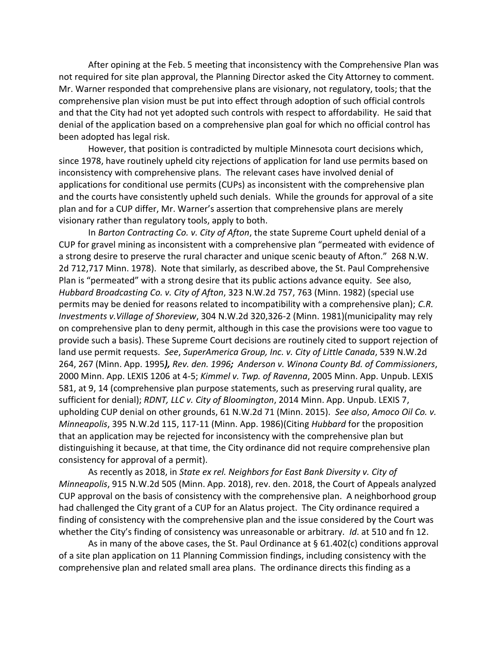After opining at the Feb. 5 meeting that inconsistency with the Comprehensive Plan was not required for site plan approval, the Planning Director asked the City Attorney to comment. Mr. Warner responded that comprehensive plans are visionary, not regulatory, tools; that the comprehensive plan vision must be put into effect through adoption of such official controls and that the City had not yet adopted such controls with respect to affordability. He said that denial of the application based on a comprehensive plan goal for which no official control has been adopted has legal risk.

However, that position is contradicted by multiple Minnesota court decisions which, since 1978, have routinely upheld city rejections of application for land use permits based on inconsistency with comprehensive plans. The relevant cases have involved denial of applications for conditional use permits (CUPs) as inconsistent with the comprehensive plan and the courts have consistently upheld such denials. While the grounds for approval of a site plan and for a CUP differ, Mr. Warner's assertion that comprehensive plans are merely visionary rather than regulatory tools, apply to both.

In *Barton Contracting Co. v. City of Afton*, the state Supreme Court upheld denial of a CUP for gravel mining as inconsistent with a comprehensive plan "permeated with evidence of a strong desire to preserve the rural character and unique scenic beauty of Afton." 268 N.W. 2d 712,717 Minn. 1978). Note that similarly, as described above, the St. Paul Comprehensive Plan is "permeated" with a strong desire that its public actions advance equity. See also, *Hubbard Broadcasting Co. v. City of Afton*, 323 N.W.2d 757, 763 (Minn. 1982) (special use permits may be denied for reasons related to incompatibility with a comprehensive plan); *C.R. Investments v.Village of Shoreview*, 304 N.W.2d 320,326-2 (Minn. 1981)(municipality may rely on comprehensive plan to deny permit, although in this case the provisions were too vague to provide such a basis). These Supreme Court decisions are routinely cited to support rejection of land use permit requests. *See*, *SuperAmerica Group, Inc. v. City of Little Canada*, 539 N.W.2d 264, 267 (Minn. App. 1995*), Rev. den. 1996; Anderson v. Winona County Bd. of Commissioners*, 2000 Minn. App. LEXIS 1206 at 4-5; *Kimmel v. Twp. of Ravenna*, 2005 Minn. App. Unpub. LEXIS 581, at 9, 14 (comprehensive plan purpose statements, such as preserving rural quality, are sufficient for denial); *RDNT, LLC v. City of Bloomington*, 2014 Minn. App. Unpub. LEXIS 7, upholding CUP denial on other grounds, 61 N.W.2d 71 (Minn. 2015). *See also*, *Amoco Oil Co. v. Minneapolis*, 395 N.W.2d 115, 117-11 (Minn. App. 1986)(Citing *Hubbard* for the proposition that an application may be rejected for inconsistency with the comprehensive plan but distinguishing it because, at that time, the City ordinance did not require comprehensive plan consistency for approval of a permit).

As recently as 2018, in *State ex rel. Neighbors for East Bank Diversity v. City of Minneapolis*, 915 N.W.2d 505 (Minn. App. 2018), rev. den. 2018, the Court of Appeals analyzed CUP approval on the basis of consistency with the comprehensive plan. A neighborhood group had challenged the City grant of a CUP for an Alatus project. The City ordinance required a finding of consistency with the comprehensive plan and the issue considered by the Court was whether the City's finding of consistency was unreasonable or arbitrary. *Id*. at 510 and fn 12.

As in many of the above cases, the St. Paul Ordinance at  $\S 61.402(c)$  conditions approval of a site plan application on 11 Planning Commission findings, including consistency with the comprehensive plan and related small area plans. The ordinance directs this finding as a